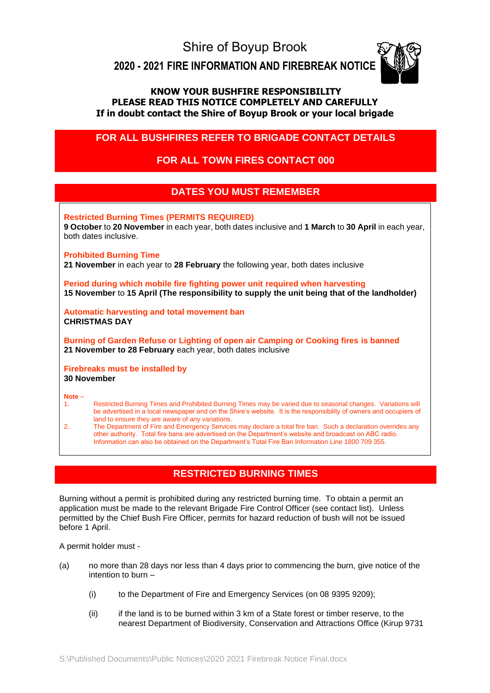Shire of Boyup Brook

**2020 - 2021 FIRE INFORMATION AND FIREBREAK NOTICE** 



## **KNOW YOUR BUSHFIRE RESPONSIBILITY PLEASE READ THIS NOTICE COMPLETELY AND CAREFULLY If in doubt contact the Shire of Boyup Brook or your local brigade**

# **FOR ALL BUSHFIRES REFER TO BRIGADE CONTACT DETAILS**

# **FOR ALL TOWN FIRES CONTACT 000**

# **DATES YOU MUST REMEMBER**

**Restricted Burning Times (PERMITS REQUIRED)**

**9 October** to **20 November** in each year, both dates inclusive and **1 March** to **30 April** in each year, both dates inclusive.

### **Prohibited Burning Time**

**21 November** in each year to **28 February** the following year, both dates inclusive

**Period during which mobile fire fighting power unit required when harvesting 15 November** to **15 April (The responsibility to supply the unit being that of the landholder)**

**Automatic harvesting and total movement ban CHRISTMAS DAY**

**Burning of Garden Refuse or Lighting of open air Camping or Cooking fires is banned 21 November to 28 February** each year, both dates inclusive

### **Firebreaks must be installed by 30 November**

#### **Note** –

1. Restricted Burning Times and Prohibited Burning Times may be varied due to seasonal changes. Variations will be advertised in a local newspaper and on the Shire's website. It is the responsibility of owners and occupiers of land to ensure they are aware of any variations.

2. The Department of Fire and Emergency Services may declare a total fire ban. Such a declaration overrides any other authority. Total fire bans are advertised on the Department's website and broadcast on ABC radio. Information can also be obtained on the Department's Total Fire Ban Information Line 1800 709 355.

# **RESTRICTED BURNING TIMES**

Burning without a permit is prohibited during any restricted burning time. To obtain a permit an application must be made to the relevant Brigade Fire Control Officer (see contact list). Unless permitted by the Chief Bush Fire Officer, permits for hazard reduction of bush will not be issued before 1 April.

A permit holder must -

- (a) no more than 28 days nor less than 4 days prior to commencing the burn, give notice of the intention to burn –
	- (i) to the Department of Fire and Emergency Services (on 08 9395 9209);
	- (ii) if the land is to be burned within 3 km of a State forest or timber reserve, to the nearest Department of Biodiversity, Conservation and Attractions Office (Kirup 9731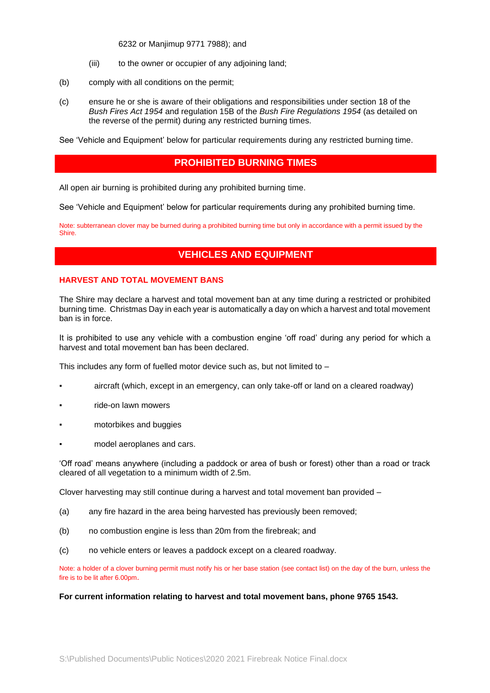6232 or Manjimup 9771 7988); and

- (iii) to the owner or occupier of any adjoining land;
- (b) comply with all conditions on the permit;
- (c) ensure he or she is aware of their obligations and responsibilities under section 18 of the *Bush Fires Act 1954* and regulation 15B of the *Bush Fire Regulations 1954* (as detailed on the reverse of the permit) during any restricted burning times.

See 'Vehicle and Equipment' below for particular requirements during any restricted burning time.

## **PROHIBITED BURNING TIMES**

All open air burning is prohibited during any prohibited burning time.

See 'Vehicle and Equipment' below for particular requirements during any prohibited burning time.

Note: subterranean clover may be burned during a prohibited burning time but only in accordance with a permit issued by the Shire.

# **VEHICLES AND EQUIPMENT**

#### **HARVEST AND TOTAL MOVEMENT BANS**

The Shire may declare a harvest and total movement ban at any time during a restricted or prohibited burning time. Christmas Day in each year is automatically a day on which a harvest and total movement ban is in force.

It is prohibited to use any vehicle with a combustion engine 'off road' during any period for which a harvest and total movement ban has been declared.

This includes any form of fuelled motor device such as, but not limited to –

- aircraft (which, except in an emergency, can only take-off or land on a cleared roadway)
- ride-on lawn mowers
- motorbikes and buggies
- model aeroplanes and cars.

'Off road' means anywhere (including a paddock or area of bush or forest) other than a road or track cleared of all vegetation to a minimum width of 2.5m.

Clover harvesting may still continue during a harvest and total movement ban provided –

- (a) any fire hazard in the area being harvested has previously been removed;
- (b) no combustion engine is less than 20m from the firebreak; and
- (c) no vehicle enters or leaves a paddock except on a cleared roadway.

Note: a holder of a clover burning permit must notify his or her base station (see contact list) on the day of the burn, unless the fire is to be lit after 6.00pm.

#### **For current information relating to harvest and total movement bans, phone 9765 1543.**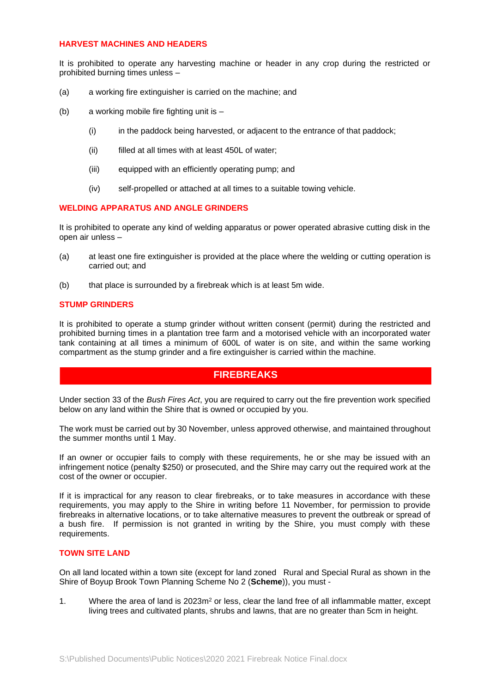#### **HARVEST MACHINES AND HEADERS**

It is prohibited to operate any harvesting machine or header in any crop during the restricted or prohibited burning times unless –

- (a) a working fire extinguisher is carried on the machine; and
- (b) a working mobile fire fighting unit is
	- (i) in the paddock being harvested, or adjacent to the entrance of that paddock;
	- (ii) filled at all times with at least 450L of water;
	- (iii) equipped with an efficiently operating pump; and
	- (iv) self-propelled or attached at all times to a suitable towing vehicle.

#### **WELDING APPARATUS AND ANGLE GRINDERS**

It is prohibited to operate any kind of welding apparatus or power operated abrasive cutting disk in the open air unless –

- (a) at least one fire extinguisher is provided at the place where the welding or cutting operation is carried out; and
- (b) that place is surrounded by a firebreak which is at least 5m wide.

#### **STUMP GRINDERS**

It is prohibited to operate a stump grinder without written consent (permit) during the restricted and prohibited burning times in a plantation tree farm and a motorised vehicle with an incorporated water tank containing at all times a minimum of 600L of water is on site, and within the same working compartment as the stump grinder and a fire extinguisher is carried within the machine.

## **FIREBREAKS**

Under section 33 of the *Bush Fires Act*, you are required to carry out the fire prevention work specified below on any land within the Shire that is owned or occupied by you.

The work must be carried out by 30 November, unless approved otherwise, and maintained throughout the summer months until 1 May.

If an owner or occupier fails to comply with these requirements, he or she may be issued with an infringement notice (penalty \$250) or prosecuted, and the Shire may carry out the required work at the cost of the owner or occupier.

If it is impractical for any reason to clear firebreaks, or to take measures in accordance with these requirements, you may apply to the Shire in writing before 11 November, for permission to provide firebreaks in alternative locations, or to take alternative measures to prevent the outbreak or spread of a bush fire. If permission is not granted in writing by the Shire, you must comply with these requirements.

#### **TOWN SITE LAND**

On all land located within a town site (except for land zoned Rural and Special Rural as shown in the Shire of Boyup Brook Town Planning Scheme No 2 (**Scheme**)), you must -

1. Where the area of land is  $2023m^2$  or less, clear the land free of all inflammable matter, except living trees and cultivated plants, shrubs and lawns, that are no greater than 5cm in height.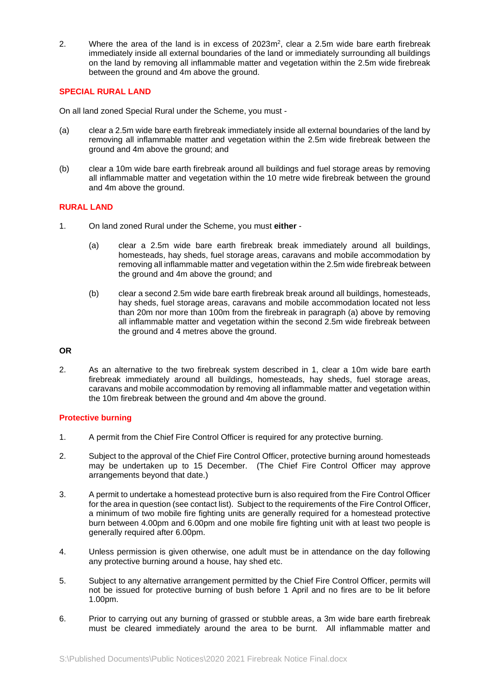2. Where the area of the land is in excess of  $2023m^2$ , clear a 2.5m wide bare earth firebreak immediately inside all external boundaries of the land or immediately surrounding all buildings on the land by removing all inflammable matter and vegetation within the 2.5m wide firebreak between the ground and 4m above the ground.

## **SPECIAL RURAL LAND**

On all land zoned Special Rural under the Scheme, you must -

- (a) clear a 2.5m wide bare earth firebreak immediately inside all external boundaries of the land by removing all inflammable matter and vegetation within the 2.5m wide firebreak between the ground and 4m above the ground; and
- (b) clear a 10m wide bare earth firebreak around all buildings and fuel storage areas by removing all inflammable matter and vegetation within the 10 metre wide firebreak between the ground and 4m above the ground.

### **RURAL LAND**

- 1. On land zoned Rural under the Scheme, you must **either**
	- (a) clear a 2.5m wide bare earth firebreak break immediately around all buildings, homesteads, hay sheds, fuel storage areas, caravans and mobile accommodation by removing all inflammable matter and vegetation within the 2.5m wide firebreak between the ground and 4m above the ground; and
	- (b) clear a second 2.5m wide bare earth firebreak break around all buildings, homesteads, hay sheds, fuel storage areas, caravans and mobile accommodation located not less than 20m nor more than 100m from the firebreak in paragraph (a) above by removing all inflammable matter and vegetation within the second 2.5m wide firebreak between the ground and 4 metres above the ground.

### **OR**

2. As an alternative to the two firebreak system described in 1, clear a 10m wide bare earth firebreak immediately around all buildings, homesteads, hay sheds, fuel storage areas, caravans and mobile accommodation by removing all inflammable matter and vegetation within the 10m firebreak between the ground and 4m above the ground.

### **Protective burning**

- 1. A permit from the Chief Fire Control Officer is required for any protective burning.
- 2. Subject to the approval of the Chief Fire Control Officer, protective burning around homesteads may be undertaken up to 15 December. (The Chief Fire Control Officer may approve arrangements beyond that date.)
- 3. A permit to undertake a homestead protective burn is also required from the Fire Control Officer for the area in question (see contact list). Subject to the requirements of the Fire Control Officer, a minimum of two mobile fire fighting units are generally required for a homestead protective burn between 4.00pm and 6.00pm and one mobile fire fighting unit with at least two people is generally required after 6.00pm.
- 4. Unless permission is given otherwise, one adult must be in attendance on the day following any protective burning around a house, hay shed etc.
- 5. Subject to any alternative arrangement permitted by the Chief Fire Control Officer, permits will not be issued for protective burning of bush before 1 April and no fires are to be lit before 1.00pm.
- 6. Prior to carrying out any burning of grassed or stubble areas, a 3m wide bare earth firebreak must be cleared immediately around the area to be burnt. All inflammable matter and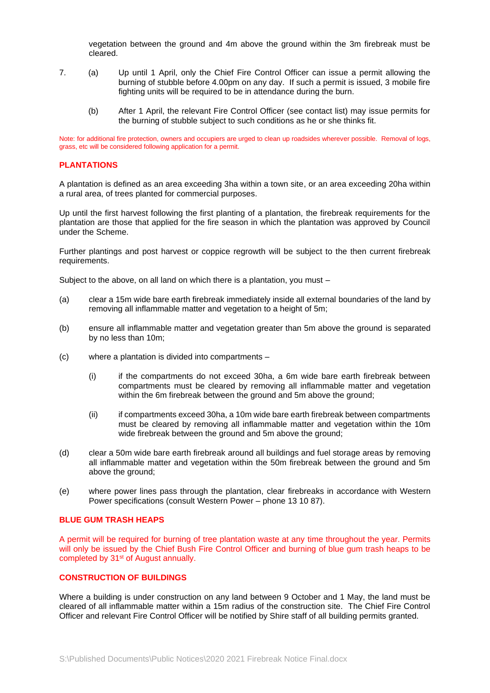vegetation between the ground and 4m above the ground within the 3m firebreak must be cleared.

- 7. (a) Up until 1 April, only the Chief Fire Control Officer can issue a permit allowing the burning of stubble before 4.00pm on any day. If such a permit is issued, 3 mobile fire fighting units will be required to be in attendance during the burn.
	- (b) After 1 April, the relevant Fire Control Officer (see contact list) may issue permits for the burning of stubble subject to such conditions as he or she thinks fit.

Note: for additional fire protection, owners and occupiers are urged to clean up roadsides wherever possible. Removal of logs, grass, etc will be considered following application for a permit.

#### **PLANTATIONS**

A plantation is defined as an area exceeding 3ha within a town site, or an area exceeding 20ha within a rural area, of trees planted for commercial purposes.

Up until the first harvest following the first planting of a plantation, the firebreak requirements for the plantation are those that applied for the fire season in which the plantation was approved by Council under the Scheme.

Further plantings and post harvest or coppice regrowth will be subject to the then current firebreak requirements.

Subject to the above, on all land on which there is a plantation, you must –

- (a) clear a 15m wide bare earth firebreak immediately inside all external boundaries of the land by removing all inflammable matter and vegetation to a height of 5m;
- (b) ensure all inflammable matter and vegetation greater than 5m above the ground is separated by no less than 10m;
- (c) where a plantation is divided into compartments
	- (i) if the compartments do not exceed 30ha, a 6m wide bare earth firebreak between compartments must be cleared by removing all inflammable matter and vegetation within the 6m firebreak between the ground and 5m above the ground:
	- (ii) if compartments exceed 30ha, a 10m wide bare earth firebreak between compartments must be cleared by removing all inflammable matter and vegetation within the 10m wide firebreak between the ground and 5m above the ground;
- (d) clear a 50m wide bare earth firebreak around all buildings and fuel storage areas by removing all inflammable matter and vegetation within the 50m firebreak between the ground and 5m above the ground;
- (e) where power lines pass through the plantation, clear firebreaks in accordance with Western Power specifications (consult Western Power – phone 13 10 87).

#### **BLUE GUM TRASH HEAPS**

A permit will be required for burning of tree plantation waste at any time throughout the year. Permits will only be issued by the Chief Bush Fire Control Officer and burning of blue gum trash heaps to be completed by 31<sup>st</sup> of August annually.

#### **CONSTRUCTION OF BUILDINGS**

Where a building is under construction on any land between 9 October and 1 May, the land must be cleared of all inflammable matter within a 15m radius of the construction site. The Chief Fire Control Officer and relevant Fire Control Officer will be notified by Shire staff of all building permits granted.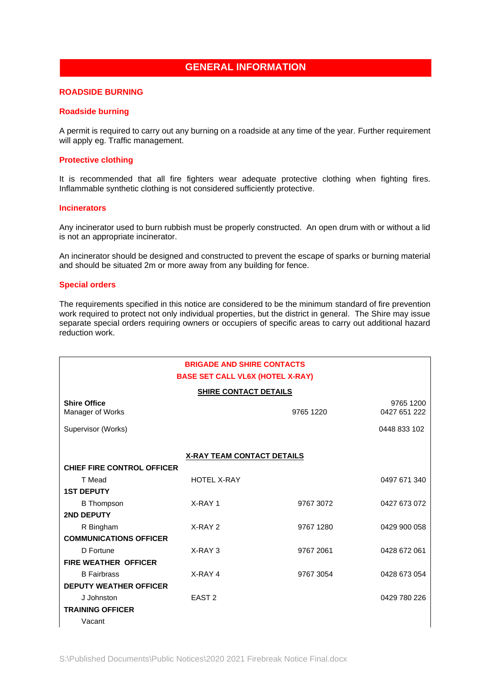# **GENERAL INFORMATION**

### **ROADSIDE BURNING**

#### **Roadside burning**

A permit is required to carry out any burning on a roadside at any time of the year. Further requirement will apply eq. Traffic management.

### **Protective clothing**

It is recommended that all fire fighters wear adequate protective clothing when fighting fires. Inflammable synthetic clothing is not considered sufficiently protective.

#### **Incinerators**

Any incinerator used to burn rubbish must be properly constructed. An open drum with or without a lid is not an appropriate incinerator.

An incinerator should be designed and constructed to prevent the escape of sparks or burning material and should be situated 2m or more away from any building for fence.

#### **Special orders**

The requirements specified in this notice are considered to be the minimum standard of fire prevention work required to protect not only individual properties, but the district in general. The Shire may issue separate special orders requiring owners or occupiers of specific areas to carry out additional hazard reduction work.

| <b>BRIGADE AND SHIRE CONTACTS</b><br><b>BASE SET CALL VL6X (HOTEL X-RAY)</b> |                    |           |                           |  |  |  |
|------------------------------------------------------------------------------|--------------------|-----------|---------------------------|--|--|--|
| <b>SHIRE CONTACT DETAILS</b>                                                 |                    |           |                           |  |  |  |
| <b>Shire Office</b><br>Manager of Works                                      |                    | 9765 1220 | 9765 1200<br>0427 651 222 |  |  |  |
| Supervisor (Works)                                                           |                    |           | 0448 833 102              |  |  |  |
|                                                                              |                    |           |                           |  |  |  |
| <b>X-RAY TEAM CONTACT DETAILS</b>                                            |                    |           |                           |  |  |  |
| <b>CHIEF FIRE CONTROL OFFICER</b>                                            |                    |           |                           |  |  |  |
| T Mead                                                                       | <b>HOTEL X-RAY</b> |           | 0497 671 340              |  |  |  |
| <b>1ST DEPUTY</b>                                                            |                    |           |                           |  |  |  |
| <b>B</b> Thompson                                                            | X-RAY 1            | 9767 3072 | 0427 673 072              |  |  |  |
| <b>2ND DEPUTY</b>                                                            |                    |           |                           |  |  |  |
| R Bingham                                                                    | X-RAY 2            | 9767 1280 | 0429 900 058              |  |  |  |
| <b>COMMUNICATIONS OFFICER</b>                                                |                    |           |                           |  |  |  |
| D Fortune                                                                    | X-RAY 3            | 9767 2061 | 0428 672 061              |  |  |  |
| <b>FIRE WEATHER OFFICER</b>                                                  |                    |           |                           |  |  |  |
| <b>B</b> Fairbrass                                                           | X-RAY 4            | 9767 3054 | 0428 673 054              |  |  |  |
| <b>DEPUTY WEATHER OFFICER</b>                                                |                    |           |                           |  |  |  |
| J Johnston                                                                   | EAST <sub>2</sub>  |           | 0429 780 226              |  |  |  |
| <b>TRAINING OFFICER</b>                                                      |                    |           |                           |  |  |  |
| Vacant                                                                       |                    |           |                           |  |  |  |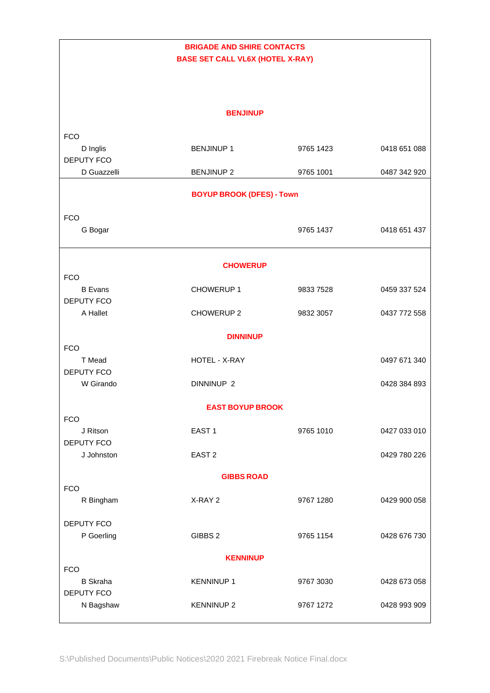| <b>BRIGADE AND SHIRE CONTACTS</b><br><b>BASE SET CALL VL6X (HOTEL X-RAY)</b> |                       |           |              |  |  |  |
|------------------------------------------------------------------------------|-----------------------|-----------|--------------|--|--|--|
|                                                                              |                       |           |              |  |  |  |
| <b>BENJINUP</b>                                                              |                       |           |              |  |  |  |
| <b>FCO</b>                                                                   |                       |           |              |  |  |  |
| D Inglis<br><b>DEPUTY FCO</b>                                                | <b>BENJINUP1</b>      | 9765 1423 | 0418 651 088 |  |  |  |
| D Guazzelli                                                                  | <b>BENJINUP 2</b>     | 9765 1001 | 0487 342 920 |  |  |  |
| <b>BOYUP BROOK (DFES) - Town</b>                                             |                       |           |              |  |  |  |
| <b>FCO</b>                                                                   |                       |           |              |  |  |  |
| G Bogar                                                                      |                       | 9765 1437 | 0418 651 437 |  |  |  |
| <b>CHOWERUP</b>                                                              |                       |           |              |  |  |  |
| <b>FCO</b>                                                                   |                       |           |              |  |  |  |
| <b>B</b> Evans<br><b>DEPUTY FCO</b>                                          | CHOWERUP 1            | 9833 7528 | 0459 337 524 |  |  |  |
| A Hallet                                                                     | CHOWERUP 2            | 9832 3057 | 0437 772 558 |  |  |  |
| <b>DINNINUP</b>                                                              |                       |           |              |  |  |  |
| <b>FCO</b>                                                                   |                       |           |              |  |  |  |
| T Mead<br><b>DEPUTY FCO</b>                                                  | HOTEL - X-RAY         |           | 0497 671 340 |  |  |  |
| W Girando                                                                    | DINNINUP <sub>2</sub> |           | 0428 384 893 |  |  |  |
| <b>EAST BOYUP BROOK</b>                                                      |                       |           |              |  |  |  |
| <b>FCO</b><br>J Ritson                                                       | EAST <sub>1</sub>     | 9765 1010 | 0427 033 010 |  |  |  |
| <b>DEPUTY FCO</b>                                                            |                       |           |              |  |  |  |
| J Johnston                                                                   | EAST <sub>2</sub>     |           | 0429 780 226 |  |  |  |
|                                                                              | <b>GIBBS ROAD</b>     |           |              |  |  |  |
| <b>FCO</b><br>R Bingham                                                      | X-RAY 2               | 9767 1280 | 0429 900 058 |  |  |  |
| <b>DEPUTY FCO</b>                                                            | GIBBS 2               | 9765 1154 |              |  |  |  |
| P Goerling                                                                   |                       |           | 0428 676 730 |  |  |  |
| <b>KENNINUP</b><br><b>FCO</b>                                                |                       |           |              |  |  |  |
| <b>B</b> Skraha<br>DEPUTY FCO                                                | <b>KENNINUP 1</b>     | 9767 3030 | 0428 673 058 |  |  |  |
| N Bagshaw                                                                    | <b>KENNINUP 2</b>     | 9767 1272 | 0428 993 909 |  |  |  |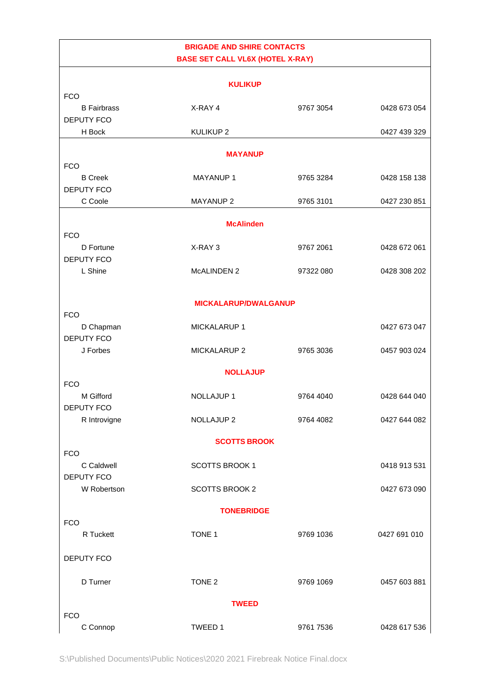| <b>BRIGADE AND SHIRE CONTACTS</b> |                                         |           |              |  |  |
|-----------------------------------|-----------------------------------------|-----------|--------------|--|--|
|                                   | <b>BASE SET CALL VL6X (HOTEL X-RAY)</b> |           |              |  |  |
|                                   |                                         |           |              |  |  |
| <b>FCO</b>                        | <b>KULIKUP</b>                          |           |              |  |  |
| <b>B</b> Fairbrass                | X-RAY 4                                 | 9767 3054 | 0428 673 054 |  |  |
| <b>DEPUTY FCO</b>                 |                                         |           |              |  |  |
| H Bock                            | <b>KULIKUP2</b>                         |           | 0427 439 329 |  |  |
|                                   |                                         |           |              |  |  |
| <b>MAYANUP</b><br><b>FCO</b>      |                                         |           |              |  |  |
| <b>B</b> Creek                    | <b>MAYANUP1</b>                         | 9765 3284 | 0428 158 138 |  |  |
| <b>DEPUTY FCO</b>                 |                                         |           |              |  |  |
| C Coole                           | <b>MAYANUP 2</b>                        | 9765 3101 | 0427 230 851 |  |  |
|                                   |                                         |           |              |  |  |
| <b>FCO</b>                        | <b>McAlinden</b>                        |           |              |  |  |
| D Fortune                         | X-RAY 3                                 | 9767 2061 | 0428 672 061 |  |  |
| <b>DEPUTY FCO</b>                 |                                         |           |              |  |  |
| L Shine                           | MCALINDEN 2                             | 97322 080 | 0428 308 202 |  |  |
|                                   |                                         |           |              |  |  |
|                                   | <b>MICKALARUP/DWALGANUP</b>             |           |              |  |  |
| <b>FCO</b>                        |                                         |           |              |  |  |
| D Chapman                         | MICKALARUP 1                            |           | 0427 673 047 |  |  |
| <b>DEPUTY FCO</b>                 |                                         |           |              |  |  |
| J Forbes                          | MICKALARUP 2                            | 9765 3036 | 0457 903 024 |  |  |
|                                   | <b>NOLLAJUP</b>                         |           |              |  |  |
| <b>FCO</b>                        |                                         |           |              |  |  |
| M Gifford                         | <b>NOLLAJUP1</b>                        | 9764 4040 | 0428 644 040 |  |  |
| DEPUTY FCO                        |                                         |           |              |  |  |
| R Introvigne                      | NOLLAJUP <sub>2</sub>                   | 9764 4082 | 0427 644 082 |  |  |
| <b>SCOTTS BROOK</b>               |                                         |           |              |  |  |
| <b>FCO</b>                        |                                         |           |              |  |  |
| C Caldwell                        | <b>SCOTTS BROOK 1</b>                   |           | 0418 913 531 |  |  |
| <b>DEPUTY FCO</b>                 |                                         |           |              |  |  |
| W Robertson                       | <b>SCOTTS BROOK 2</b>                   |           | 0427 673 090 |  |  |
| <b>TONEBRIDGE</b>                 |                                         |           |              |  |  |
| <b>FCO</b>                        |                                         |           |              |  |  |
| R Tuckett                         | TONE 1                                  | 9769 1036 | 0427 691 010 |  |  |
|                                   |                                         |           |              |  |  |
| DEPUTY FCO                        |                                         |           |              |  |  |
| D Turner                          | TONE <sub>2</sub>                       | 9769 1069 | 0457 603 881 |  |  |
|                                   |                                         |           |              |  |  |
|                                   | <b>TWEED</b>                            |           |              |  |  |
| <b>FCO</b>                        |                                         |           |              |  |  |
| C Connop                          | TWEED 1                                 | 9761 7536 | 0428 617 536 |  |  |

S:\Published Documents\Public Notices\2020 2021 Firebreak Notice Final.docx